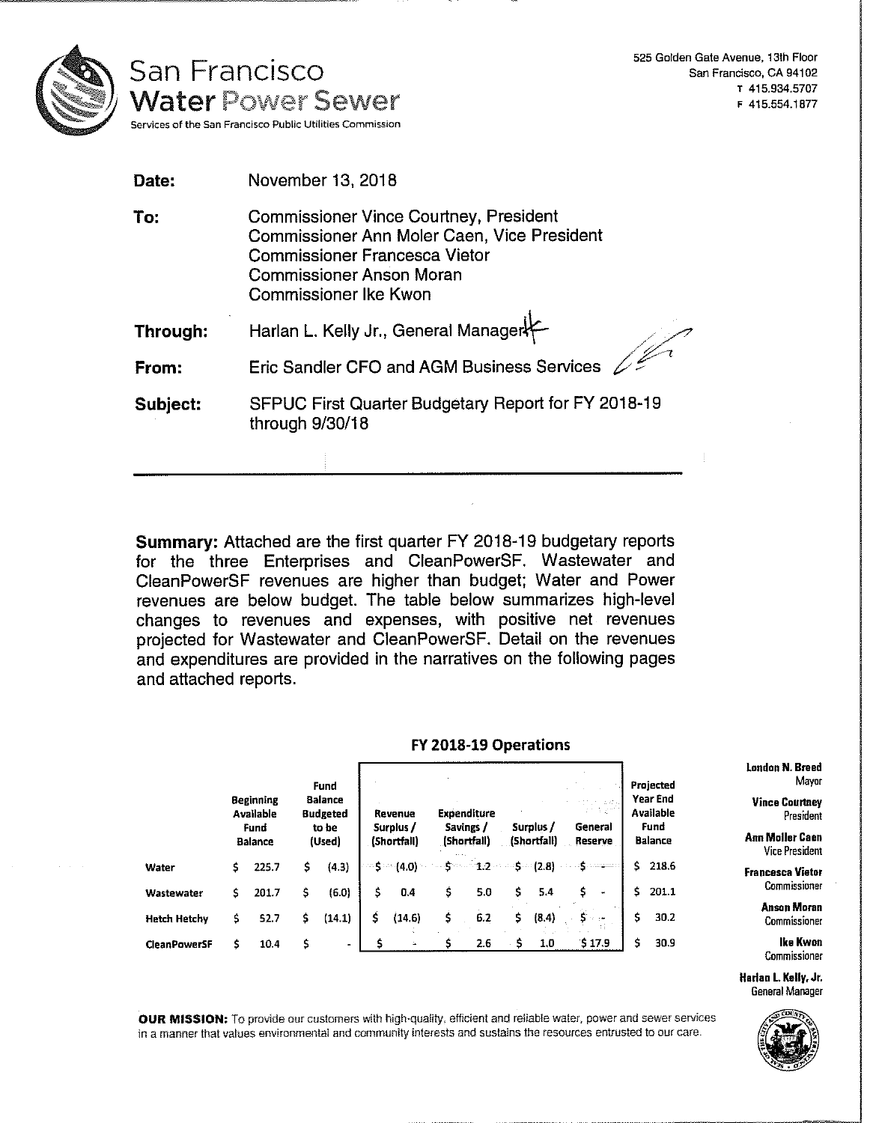

525 Golden Gate Avenue, 13th Floor San Francisco, CA 94102 T 415.934.5707 F 415.554.1877

| Date:    | November 13, 2018                                                                                                                                                                                       |
|----------|---------------------------------------------------------------------------------------------------------------------------------------------------------------------------------------------------------|
| To:      | <b>Commissioner Vince Courtney, President</b><br>Commissioner Ann Moler Caen, Vice President<br><b>Commissioner Francesca Vietor</b><br><b>Commissioner Anson Moran</b><br><b>Commissioner Ike Kwon</b> |
| Through: | Harlan L. Kelly Jr., General Manager                                                                                                                                                                    |
| From:    | $\frac{1}{2}$<br>Eric Sandler CFO and AGM Business Services                                                                                                                                             |
| Subject: | SFPUC First Quarter Budgetary Report for FY 2018-19<br>through 9/30/18                                                                                                                                  |
|          |                                                                                                                                                                                                         |

**Summary:** Attached are the first quarter FY 2018-19 budgetary reports for the three Enterprises and CleanPowerSF. Wastewater and CleanPowerSF revenues are higher than budget; Water and Power revenues are below budget. The table below summarizes high-level changes to revenues and expenses, with positive net revenues projected for Wastewater and CleanPowerSF. Detail on the revenues and expenditures are provided in the narratives on the following pages and attached reports.

## FY 2018-19 Operations

|                     | <b>Beginning</b><br>Available<br>Fund<br><b>Balance</b> |       | Fund<br><b>Balance</b><br><b>Budgeted</b><br>to be<br>(Used) |           | Revenue<br>Surplus /<br>(Shortfall) |                        |    | Expenditure<br>Savings /<br>(Shortfall) |     | Surplus /<br>(Shortfall) | General<br>Reserve |                |    | Projected<br>Year End<br>Available<br>Fund<br><b>Balance</b> |
|---------------------|---------------------------------------------------------|-------|--------------------------------------------------------------|-----------|-------------------------------------|------------------------|----|-----------------------------------------|-----|--------------------------|--------------------|----------------|----|--------------------------------------------------------------|
| Water               | \$                                                      | 225.7 | \$                                                           | (4.3)     |                                     | $\sim$ S $\sim$ (4.0). |    |                                         | ۰Ś. | $-(2.8)$                 |                    |                | Ś. | 218.6                                                        |
| Wastewater          | \$                                                      | 201.7 | s                                                            | (6.0)     | \$                                  | 0.4                    | \$ | 5.0                                     | \$  | 5.4                      |                    | $\blacksquare$ | Ŝ. | 201.1                                                        |
| <b>Hetch Hetchy</b> | \$                                                      | 52.7  | \$                                                           | (14.1)    | \$                                  | (14.6)                 | \$ | 6.2                                     | \$. | (8.4)                    |                    |                | \$ | 30.2                                                         |
| <b>CleanPowerSF</b> | \$                                                      | 10.4  | s                                                            | $\bullet$ |                                     |                        | s. | 2.6                                     | \$  | 1.0                      |                    | \$17.9         | Ś  | 30.9                                                         |

London N. **Breed Projected** Mayor

nd **Vince Courtney**<br>ble President **Available** President

**Balance Ann Moller Caen** Vice President

> **Francesca Yietor**  Commissioner

> > Anson Moran Commissioner

Ike Kwon Commissioner

Harlan L Kelly, Jr. General Manager



**OUR MISSION:** To provide our customers with high-quality, efficient and reliable water, power and sewer services in a manner that values environmental and community interests and sustains the resources entrusted to our care.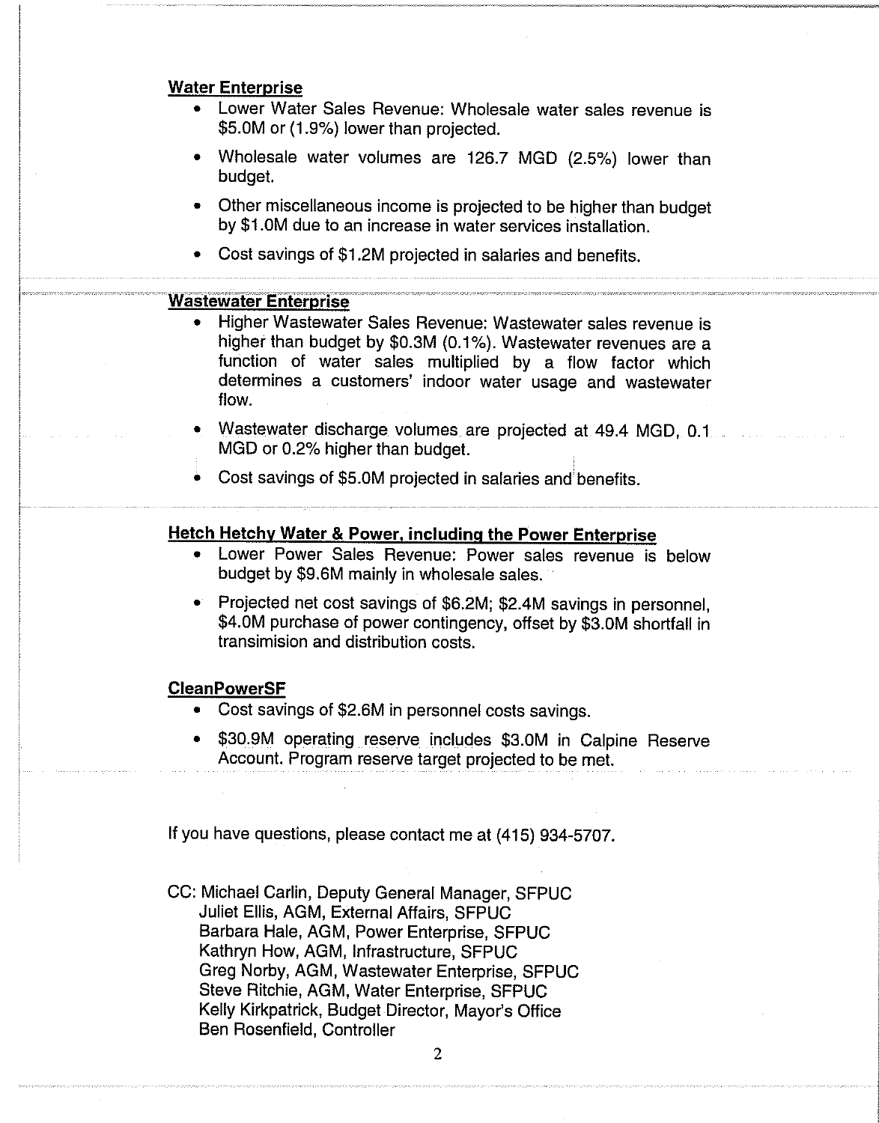# **Water Enterprise**

- Lower Water Sales Revenue: Wholesale water sales revenue is \$5.0M or (1.9%) lower than projected.
- Wholesale water volumes are 126.7 MGD (2.5%) lower than budget.
- Other miscellaneous income is projected to be higher than budget by \$1.0M due to an increase in water services installation.
- Cost savings of \$1.2M projected in salaries and benefits.

# **\_ Wastewater Enterprise**

- Higher Wastewater Sales Revenue: Wastewater sales revenue is higher than budget by \$0.3M (0.1%). Wastewater revenues are a function of water sales multiplied by a flow factor which determines a customers' indoor water usage and wastewater flow.
- Wastewater discharge volumes are projected at 49.4 MGD, 0.1 MGD or 0.2% higher than budget.
- Cost savings of \$5.0M projected in salaries and benefits.

# **Hetch Hetchv Water & Power, including the Power Enterprise**

- Lower Power Sales Revenue: Power sales revenue is below budget by \$9.6M mainly in wholesale sales.
- Projected net cost savings of \$6.2M; \$2.4M savings in personnel, \$4.0M purchase of power contingency, offset by \$3.0M shortfall in transimision and distribution costs.

## **CleanPowerSF**

- Cost savings of \$2.6M in personnel costs savings.
- \$30.9M operating reserve includes \$3.0M in Calpine Reserve Account. Program reserve target projected to be met.

If you have questions, please contact me at (415) 934-5707.

CC: Michael Carlin, Deputy General Manager, SFPUC Juliet Ellis, AGM, External Affairs, SFPUC Barbara Hale, AGM, Power Enterprise, SFPUC Kathryn How, AGM, Infrastructure, SFPUC Greg Norby, AGM, Wastewater Enterprise, SFPUC Steve Ritchie, AGM, Water Enterprise, SFPUC Kelly Kirkpatrick, Budget Director, Mayor's Office Ben Rosenfield, Controller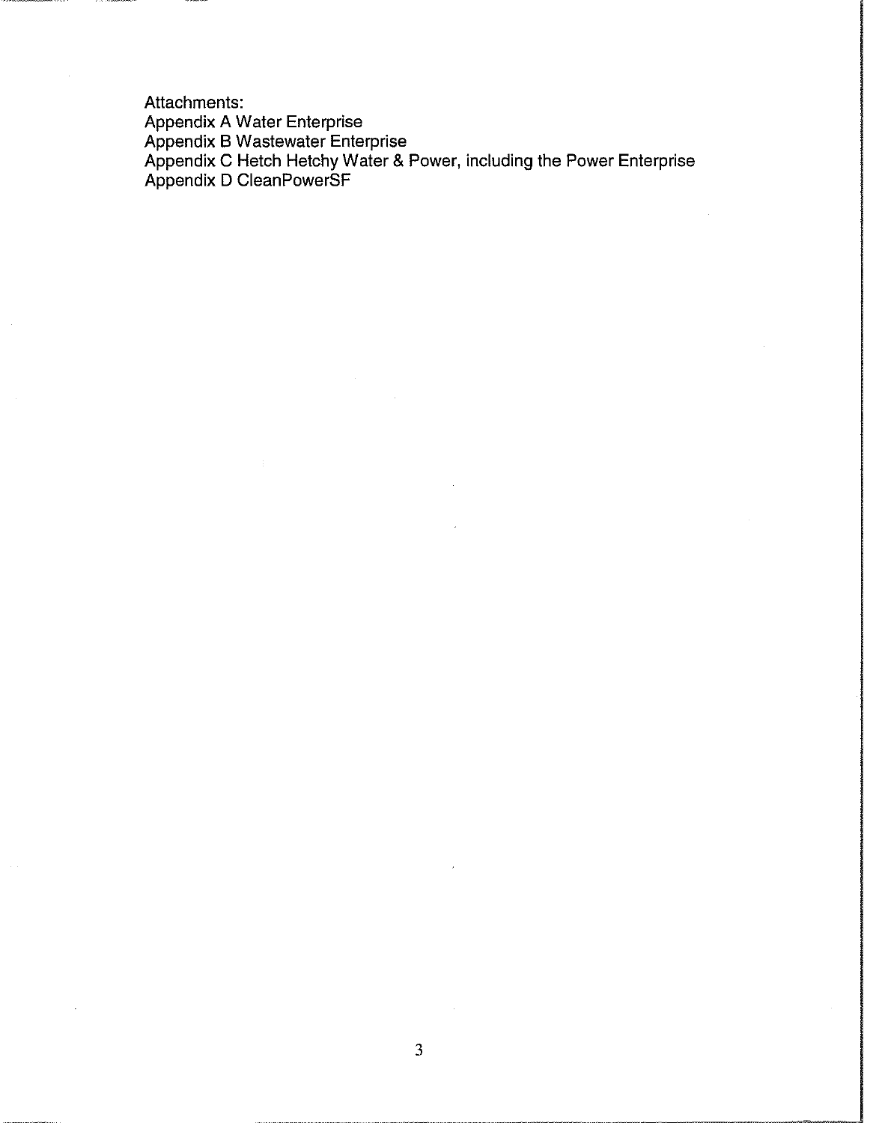Attachments: Appendix A Water Enterprise Appendix B Wastewater Enterprise Appendix C Hetch Hetchy Water & Power, including the Power Enterprise Appendix D CleanPowerSF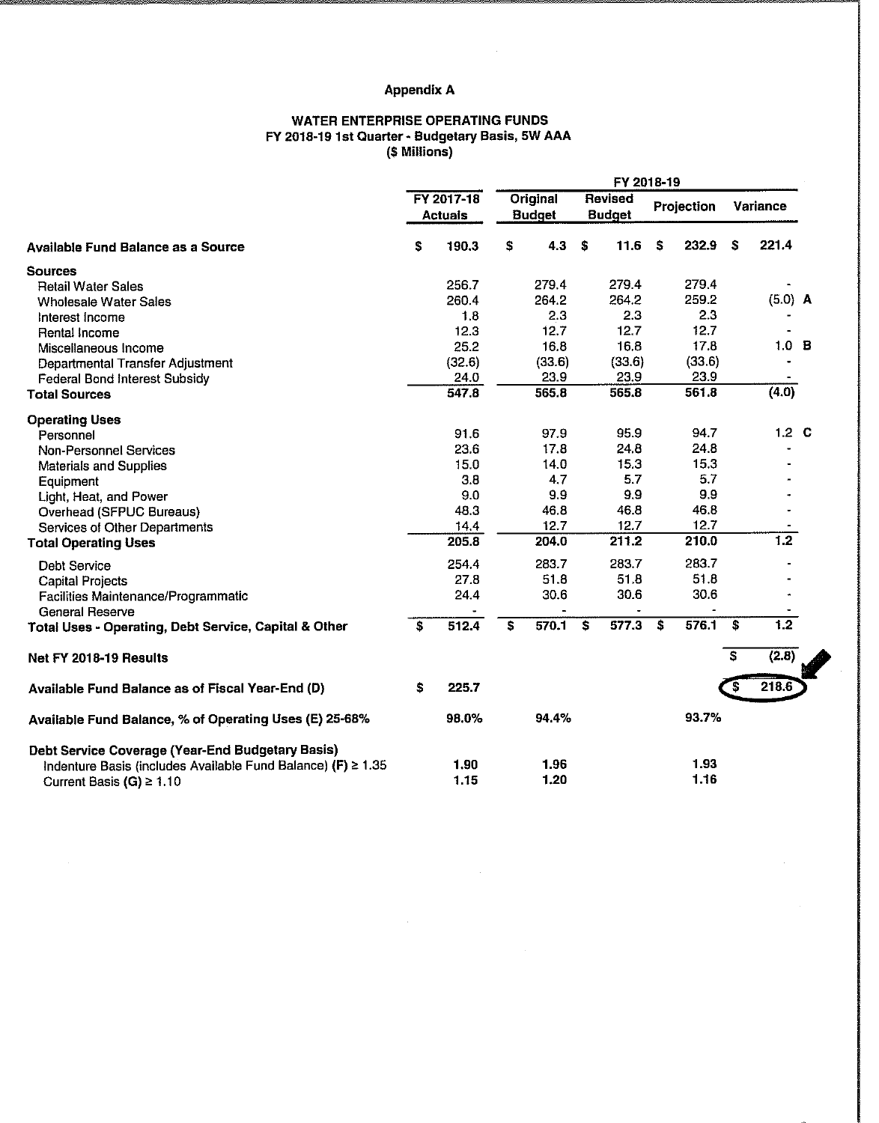# **Appendix A**

 $\sim 10^{-1}$ 

#### **WATER ENTERPRISE OPERATING FUNDS FY 2018-19 1st Quarter- Budgetary Basis, 5W AAA (\$ Millions)**

|                                                                                 |                              |        | FY 2018-19                |        |      |                                 |            |        |          |                  |  |  |  |
|---------------------------------------------------------------------------------|------------------------------|--------|---------------------------|--------|------|---------------------------------|------------|--------|----------|------------------|--|--|--|
|                                                                                 | FY 2017-18<br><b>Actuals</b> |        | Original<br><b>Budget</b> |        |      | <b>Revised</b><br><b>Budget</b> | Projection |        | Variance |                  |  |  |  |
| <b>Available Fund Balance as a Source</b>                                       | S.                           | 190.3  | S                         | 4.3    | - \$ | 11.6                            | \$         | 232.9  | \$       | 221.4            |  |  |  |
| <b>Sources</b>                                                                  |                              |        |                           |        |      |                                 |            |        |          |                  |  |  |  |
| <b>Retail Water Sales</b>                                                       |                              | 256.7  |                           | 279.4  |      | 279.4                           |            | 279.4  |          |                  |  |  |  |
| <b>Wholesale Water Sales</b>                                                    |                              | 260.4  |                           | 264.2  |      | 264.2                           |            | 259.2  |          | (5.0) A          |  |  |  |
| Interest Income                                                                 |                              | 1.8    |                           | 2.3    |      | 2.3                             |            | 2.3    |          |                  |  |  |  |
| Rental Income                                                                   |                              | 12.3   |                           | 12.7   |      | 12.7                            |            | 12.7   |          |                  |  |  |  |
| Miscellaneous Income                                                            |                              | 25.2   |                           | 16.8   |      | 16.8                            |            | 17.8   |          | 1.0 <sub>B</sub> |  |  |  |
| Departmental Transfer Adjustment                                                |                              | (32.6) |                           | (33.6) |      | (33.6)                          |            | (33.6) |          |                  |  |  |  |
| <b>Federal Bond Interest Subsidy</b>                                            |                              | 24.0   |                           | 23.9   |      | 23.9                            |            | 23.9   |          |                  |  |  |  |
| <b>Total Sources</b>                                                            |                              | 547.8  |                           | 565.8  |      | 565.8                           |            | 561.8  |          | (4.0)            |  |  |  |
| <b>Operating Uses</b>                                                           |                              |        |                           |        |      |                                 |            |        |          |                  |  |  |  |
| Personnel                                                                       |                              | 91.6   |                           | 97.9   |      | 95.9                            |            | 94.7   |          | $1.2\quad$ C     |  |  |  |
| <b>Non-Personnel Services</b>                                                   |                              | 23.6   |                           | 17.8   |      | 24.8                            |            | 24.8   |          |                  |  |  |  |
| Materials and Supplies                                                          |                              | 15.0   |                           | 14.0   |      | 15.3                            |            | 15.3   |          |                  |  |  |  |
| Equipment                                                                       |                              | 3.8    |                           | 4.7    |      | 5.7                             |            | 5.7    |          |                  |  |  |  |
| Light, Heat, and Power                                                          |                              | 9.0    |                           | 9.9    |      | 9.9                             |            | 9.9    |          |                  |  |  |  |
| Overhead (SFPUC Bureaus)                                                        |                              | 48.3   |                           | 46.8   |      | 46.8                            |            | 46.8   |          |                  |  |  |  |
| <b>Services of Other Departments</b>                                            |                              | 14.4   |                           | 12.7   |      | 12.7                            |            | 12.7   |          |                  |  |  |  |
| <b>Total Operating Uses</b>                                                     |                              | 205.8  |                           | 204.0  |      | 211.2                           |            | 210.0  |          | $\overline{1.2}$ |  |  |  |
| <b>Debt Service</b>                                                             |                              | 254.4  |                           | 283.7  |      | 283.7                           |            | 283.7  |          |                  |  |  |  |
| Capital Projects                                                                |                              | 27.8   |                           | 51.8   |      | 51.8                            |            | 51.8   |          |                  |  |  |  |
| Facilities Maintenance/Programmatic                                             |                              | 24.4   |                           | 30.6   |      | 30.6                            |            | 30.6   |          |                  |  |  |  |
| <b>General Reserve</b><br>Total Uses - Operating, Debt Service, Capital & Other | S.                           | 512.4  | S                         | 570.1  | \$   | 577.3                           | - 5        | 576.1  | S        | 1.2              |  |  |  |
|                                                                                 |                              |        |                           |        |      |                                 |            |        | s        | (2.8)            |  |  |  |
| Net FY 2018-19 Results                                                          |                              |        |                           |        |      |                                 |            |        |          |                  |  |  |  |
| Available Fund Balance as of Fiscal Year-End (D)                                | S.                           | 2257   |                           |        |      |                                 |            |        | s        | 218.6            |  |  |  |
| Available Fund Balance, % of Operating Uses (E) 25-68%                          |                              | 98.0%  |                           | 94.4%  |      |                                 |            | 93.7%  |          |                  |  |  |  |
| Debt Service Coverage (Year-End Budgetary Basis)                                |                              |        |                           |        |      |                                 |            |        |          |                  |  |  |  |
| Indenture Basis (includes Available Fund Balance) (F) ≥ 1.35                    |                              | 1.90   |                           | 1.96   |      |                                 |            | 1.93   |          |                  |  |  |  |
| Current Basis (G) $\geq 1.10$                                                   |                              | 1.15   |                           | 1.20   |      |                                 |            | 1.16   |          |                  |  |  |  |

 $\hat{\mathbf{x}}$ 

 $\bar{z}$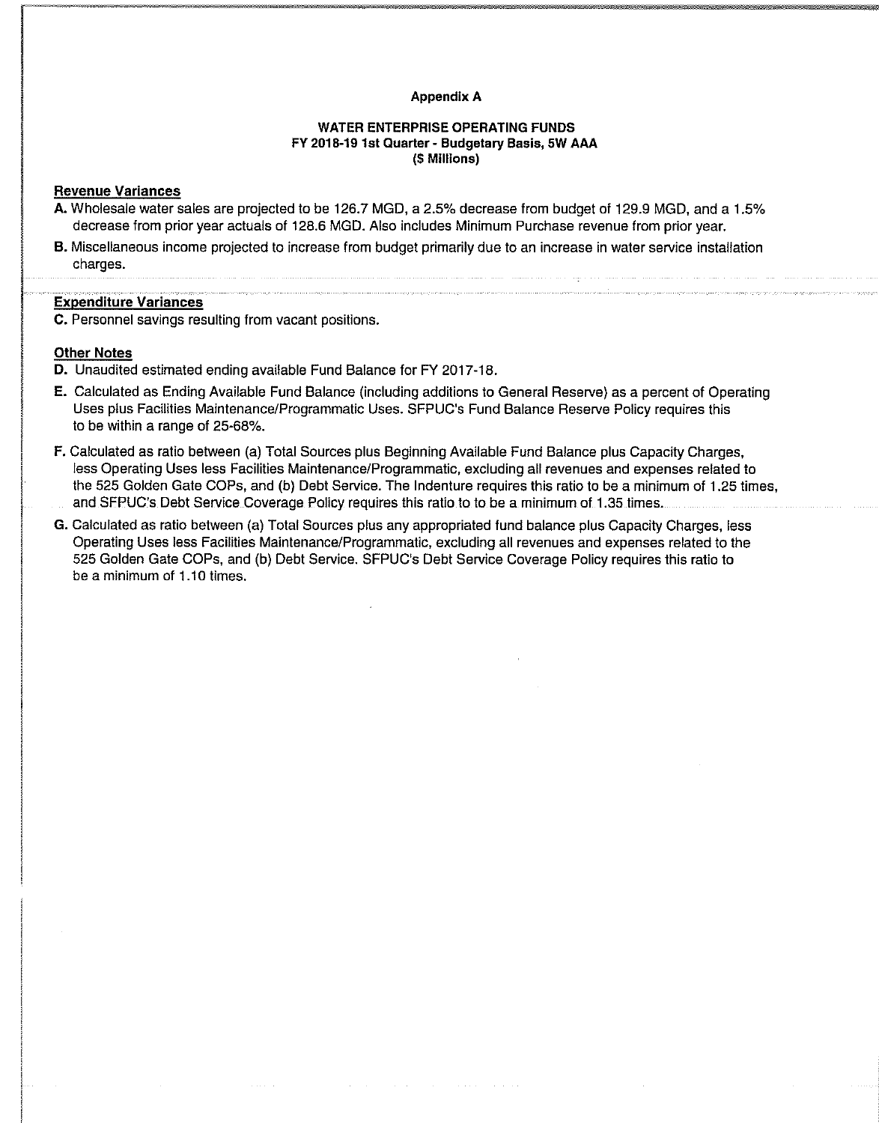#### Appendix A

### WATER ENTERPRISE OPERATING FUNDS FY 2018-19 1st Quarter - Budgetary Basis, 5W AAA (\$ Millions)

#### Revenue Variances

- A. Wholesale water sales are projected to be 126.7 MGD, a 2.5% decrease from budget of 129.9 MGD, and a 1.5% decrease from prior year actuals of 128.6 MOD. Also includes Minimum Purchase revenue from prior year.
- B. Miscellaneous income projected to increase from budget primarily due to an increase in water service installation charges.

### Expenditure Variances

C. Personnel savings resulting from vacant positions.

## Other Notes

D. Unaudited estimated ending available Fund Balance for FY 2017-18.

- E. Calculated as Ending Available Fund Balance (including additions to General Reserve) as a percent of Operating Uses plus Facilities Maintenance/Programmatic Uses. SFPUC's Fund Balance Reserve Policy requires this to be within a range of 25-68%.
- F. Calculated as ratio between (a) Total Sources plus Beginning Available Fund Balance plus Capacity Charges, less Operating Uses less Facilities Maintenance/Programmatic, excluding all revenues and expenses related to the 525 Golden Gate COPs, and (b) Debt Service. The Indenture requires this ratio to be a minimum of 1.25 times, and SFPUC's Debt Service Coverage Policy requires this ratio to to be a minimum of 1.35 times.
- G. Calculated as ratio between (a) Total Sources plus any appropriated fund balance plus Capacity Charges, less Operating Uses less Facilities Maintenance/Programmatic, excluding all revenues and expenses related to the 525 Golden Gate COPs, and (b) Debt Service. SFPUC's Debt Service Coverage Policy requires this ratio to be a minimum of 1.10 times.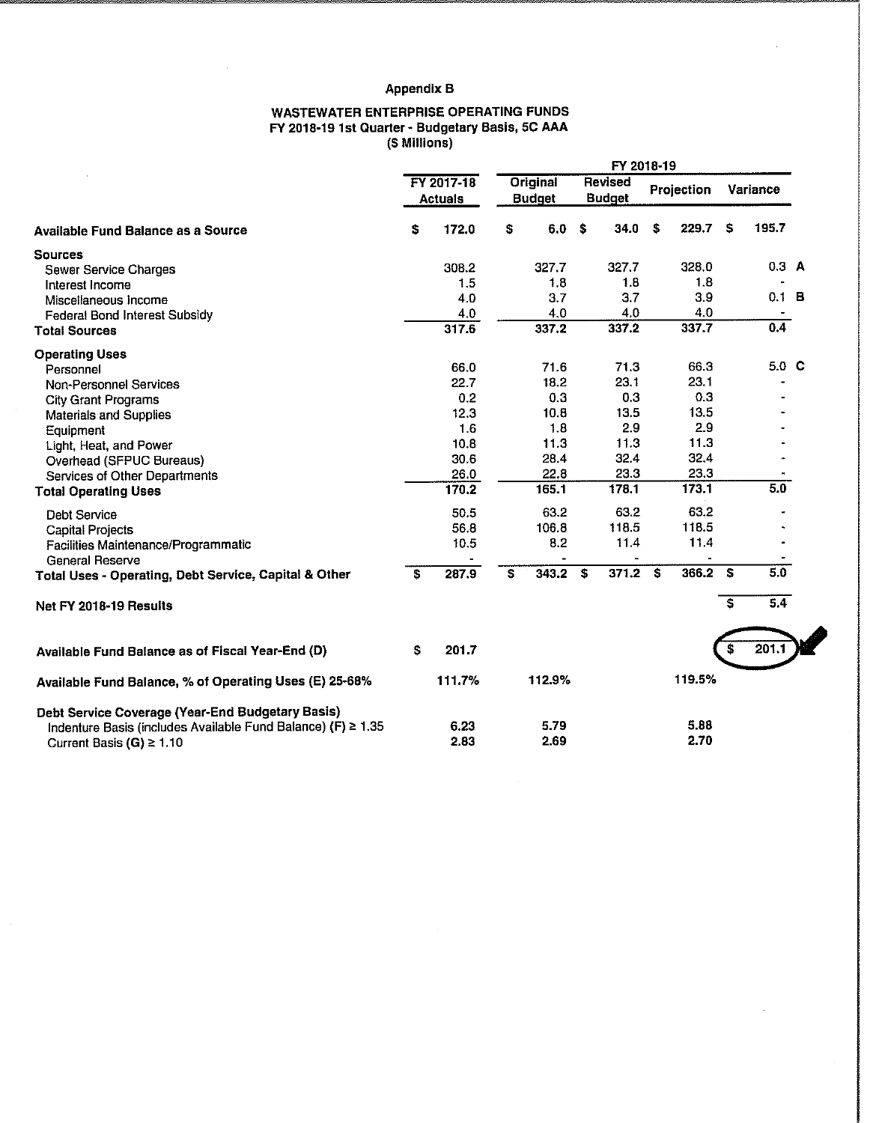# **Appendix B**

#### **WASTEWATER ENTERPRISE OPERATING FUNDS FY 2018-19 1st Quarter - Budgetary Basis, 5C AAA (\$ Millions)**

|                                                                                                                                                   |    |                              | FY 2018-19 |                           |    |                          |    |              |                             |          |  |
|---------------------------------------------------------------------------------------------------------------------------------------------------|----|------------------------------|------------|---------------------------|----|--------------------------|----|--------------|-----------------------------|----------|--|
|                                                                                                                                                   |    | FY 2017-18<br><b>Actuals</b> |            | Original<br><b>Budget</b> |    | Revised<br><b>Budget</b> |    | Projection   |                             | Variance |  |
| <b>Available Fund Balance as a Source</b>                                                                                                         | \$ | 172.0                        | \$         | 6.0                       | \$ | 34.0                     | S  | 229.7        | S.                          | 195.7    |  |
| <b>Sources</b>                                                                                                                                    |    |                              |            |                           |    |                          |    |              |                             |          |  |
| Sewer Service Charges                                                                                                                             |    | 308.2                        |            | 327.7                     |    | 327.7                    |    | 328.0        |                             | $0.3$ A  |  |
| Interest Income                                                                                                                                   |    | 1.5                          |            | 1.8                       |    | 1.8                      |    | 1.8          |                             |          |  |
| Miscellaneous Income                                                                                                                              |    | 4.0                          |            | 3.7                       |    | 3.7                      |    | 3.9          |                             | 0.1 B    |  |
| <b>Federal Bond Interest Subsidy</b>                                                                                                              |    | 4.0                          |            | 4.0                       |    | 4.0                      |    | 4.0          |                             |          |  |
| <b>Total Sources</b>                                                                                                                              |    | 317.6                        |            | 337.2                     |    | 337.2                    |    | 337.7        |                             | 0.4      |  |
| <b>Operating Uses</b>                                                                                                                             |    |                              |            |                           |    |                          |    |              |                             |          |  |
| Personnel                                                                                                                                         |    | 66.0                         |            | 71.6                      |    | 71.3                     |    | 66.3         |                             | 5.0 C    |  |
| Non-Personnel Services                                                                                                                            |    | 22.7                         |            | 18.2                      |    | 23.1                     |    | 23.1         |                             |          |  |
| <b>City Grant Programs</b>                                                                                                                        |    | 0.2                          |            | 0.3                       |    | 0.3                      |    | 0.3          |                             |          |  |
| <b>Materials and Supplies</b>                                                                                                                     |    | 12.3                         |            | 10.8                      |    | 13.5                     |    | 13.5         |                             |          |  |
| Equipment                                                                                                                                         |    | 1.6                          |            | 1.8                       |    | 2.9                      |    | 2.9          |                             |          |  |
| Light, Heat, and Power                                                                                                                            |    | 10.8                         |            | 11.3                      |    | 11.3                     |    | 11.3         |                             |          |  |
| Overhead (SFPUC Bureaus)                                                                                                                          |    | 30.6                         |            | 28.4                      |    | 32.4                     |    | 32.4         |                             |          |  |
| Services of Other Departments                                                                                                                     |    | 26.0                         |            | 22.8                      |    | 23.3                     |    | 23.3         |                             |          |  |
| <b>Total Operating Uses</b>                                                                                                                       |    | 170.2                        |            | 165.1                     |    | 178.1                    |    | 173.1        |                             | 5.0      |  |
| <b>Debt Service</b>                                                                                                                               |    | 50.5                         |            | 63.2                      |    | 63.2                     |    | 63.2         |                             |          |  |
| <b>Capital Projects</b>                                                                                                                           |    | 56.8                         |            | 106.8                     |    | 118.5                    |    | 118.5        |                             |          |  |
| Facilities Maintenance/Programmatic                                                                                                               |    | 10.5                         |            | 8.2                       |    | 11.4                     |    | 11.4         |                             |          |  |
| <b>General Reserve</b>                                                                                                                            |    |                              |            |                           |    |                          |    |              |                             |          |  |
| Total Uses - Operating, Debt Service, Capital & Other                                                                                             | S  | 287.9                        | S.         | 343.2                     | S. | 371.2                    | Ŝ. | 366.2        | S                           | 5.0      |  |
| Net FY 2018-19 Results                                                                                                                            |    |                              |            |                           |    |                          |    |              | $\overline{\boldsymbol{s}}$ | 5.4      |  |
| Available Fund Balance as of Fiscal Year-End (D)                                                                                                  | \$ | 201.7                        |            |                           |    |                          |    |              | \$                          | 201.1    |  |
| Available Fund Balance, % of Operating Uses (E) 25-68%                                                                                            |    | 111.7%                       |            | 112.9%                    |    |                          |    | 119.5%       |                             |          |  |
| Debt Service Coverage (Year-End Budgetary Basis)<br>Indenture Basis (includes Available Fund Balance) (F) ≥ 1.35<br>Current Basis (G) $\geq 1.10$ |    | 6.23<br>2.83                 |            | 5.79<br>2.69              |    |                          |    | 5.88<br>2.70 |                             |          |  |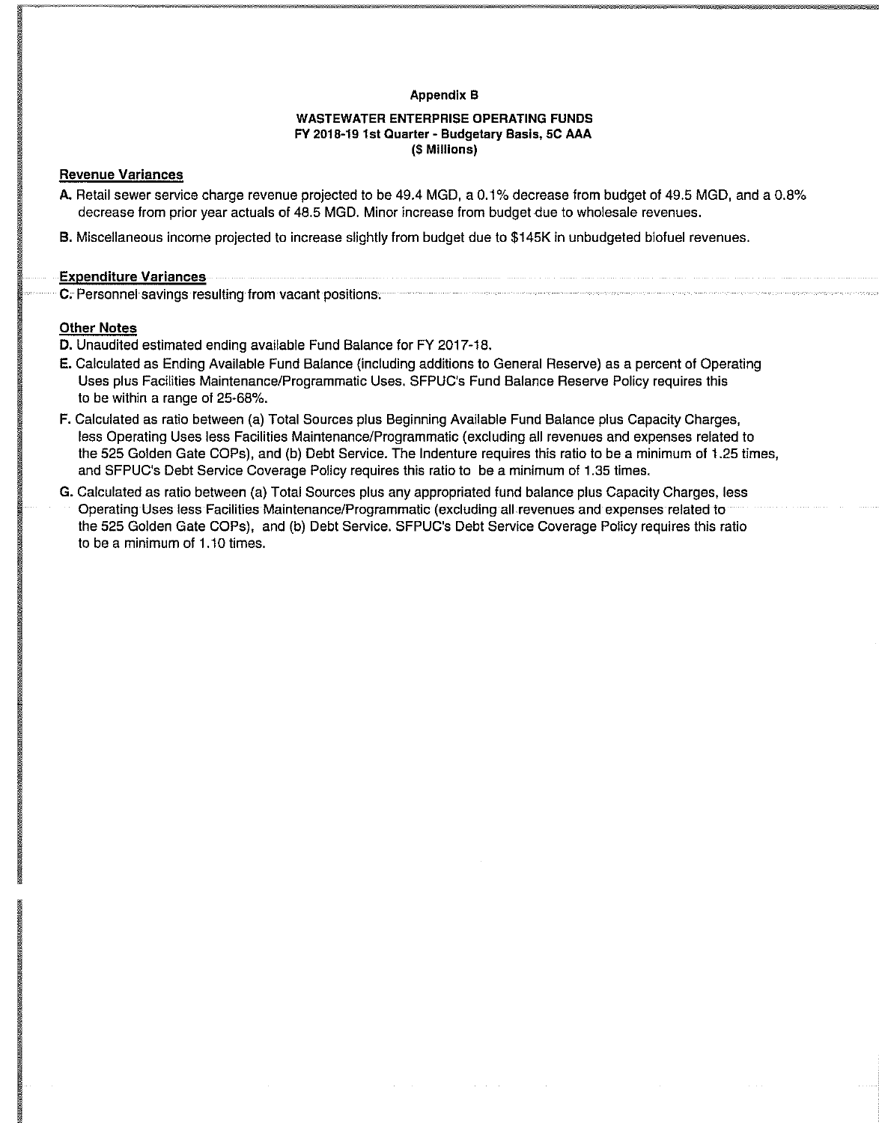### Appendix B

## WASTEWATER ENTERPRISE OPERATING FUNDS FY 2018-19 1st Quarter - Budgetary Basis, 5C AAA (\$ Millions)

## Revenue Variances

- A. Retail sewer service charge revenue projected to be 49.4 MGD, a 0.1% decrease from budget of 49.5 MGD, and a 0.8% decrease from prior year actuals of 48.5 MGD. Minor increase from budget due to wholesale revenues.
- B. Miscellaneous income projected to increase slightly from budget due to \$145K in unbudgeted biofuel revenues.

#### Expenditure Variances

C. Personnel savings resulting from vacant positions.

### Other Notes

D. Unaudited estimated ending available Fund Balance for FY 2017-18.

- E. Calculated as Ending Available Fund Balance (including additions to General Reserve) as a percent of Operating Uses plus Facilities Maintenance/Programmatic Uses. SFPUC's Fund Balance Reserve Policy requires this to be within a range of 25-68%.
- F. Calculated as ratio between (a) Total Sources plus Beginning Available Fund Balance plus Capacity Charges, less Operating Uses less Facilities Maintenance/Programmatic (excluding all revenues and expenses related to the 525 Golden Gate COPs), and (b) Debt Service. The Indenture requires this ratio to be a minimum of 1.25 times, and SFPUC's Debt Service Coverage Policy requires this ratio to be a minimum of 1.35 times.
- G. Calculated as ratio between (a) Total Sources plus any appropriated fund balance plus Capacity Charges, less Operating Uses less Facilities Maintenance/Programmatic (excluding all revenues and expenses related to the 525 Golden Gate COPs), and (b) Debt Service. SFPUC's Debt Service Coverage Policy requires this ratio to be a minimum of 1.10 times.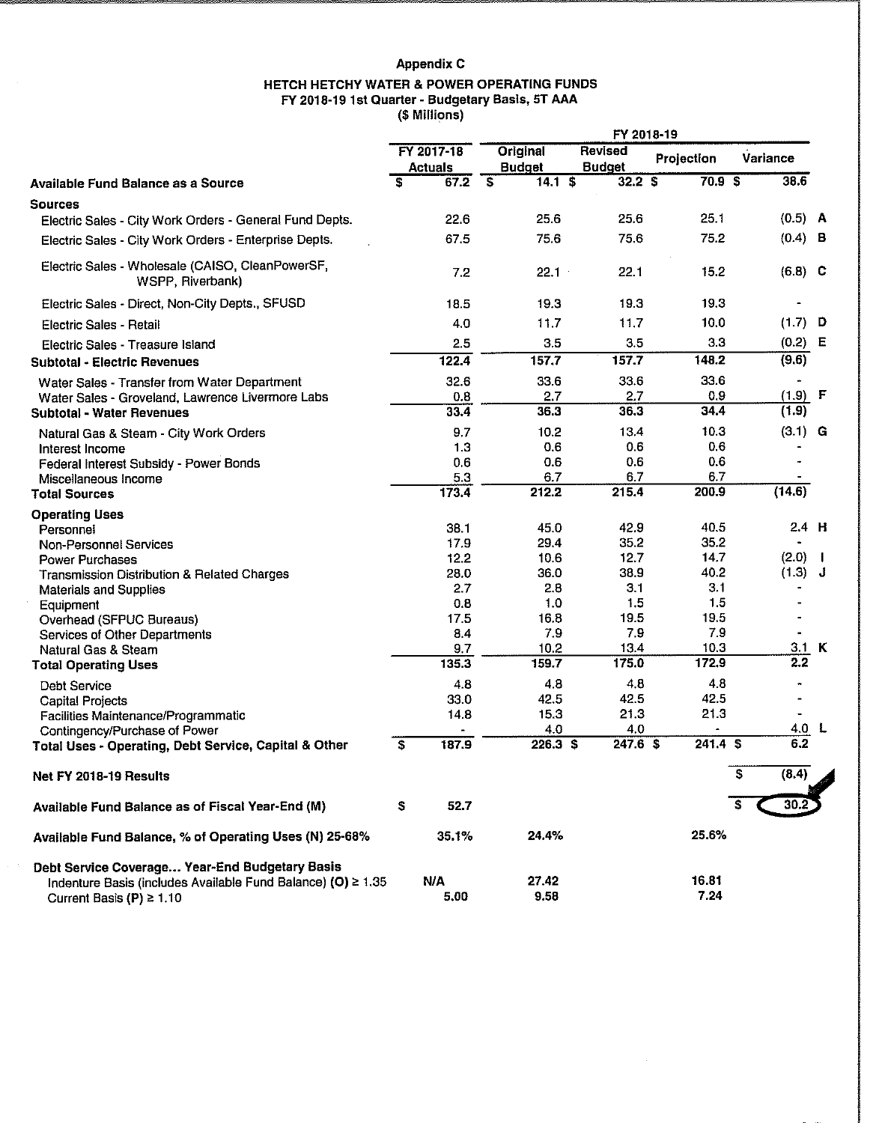# **Appendix C**

#### **HETCH HETCHY WATER & POWER OPERATING FUNDS FY 2018-19 1st Quarter - Budgetary Basis, ST AAA (\$ Millions)**

|                                                                                                                                                 |                                 | FY 2018-19                        |                                 |                   |                         |  |  |  |  |
|-------------------------------------------------------------------------------------------------------------------------------------------------|---------------------------------|-----------------------------------|---------------------------------|-------------------|-------------------------|--|--|--|--|
|                                                                                                                                                 | FY 2017-18<br><b>Actuals</b>    | Original<br><b>Budget</b>         | <b>Revised</b><br><b>Budget</b> | Projection        | Variance                |  |  |  |  |
| Available Fund Balance as a Source                                                                                                              | $\overline{\mathbf{s}}$<br>67.2 | 14.1 S<br>$\overline{\mathbf{s}}$ | 32.2S                           | 70.9 <sup>5</sup> | 38.6                    |  |  |  |  |
| <b>Sources</b>                                                                                                                                  |                                 |                                   |                                 |                   |                         |  |  |  |  |
| Electric Sales - City Work Orders - General Fund Depts.                                                                                         | 22.6                            | 25.6                              | 25.6                            | 25.1              | $(0.5)$ A               |  |  |  |  |
| Electric Sales - City Work Orders - Enterprise Depts.                                                                                           | 67.5                            | 75.6                              | 75.6                            | 75.2              | $(0.4)$ B               |  |  |  |  |
| Electric Sales - Wholesale (CAISO, CleanPowerSF,<br>WSPP, Riverbank)                                                                            | 7.2                             | 22.1                              | 22.1                            | 15.2              | $(6.8)$ C               |  |  |  |  |
| Electric Sales - Direct, Non-City Depts., SFUSD                                                                                                 | 18.5                            | 19.3                              | 19.3                            | 19.3              |                         |  |  |  |  |
| Electric Sales - Retail                                                                                                                         | 4,0                             | 11.7                              | 11.7                            | 10.0              | (1.7)<br>D              |  |  |  |  |
| Electric Sales - Treasure Island                                                                                                                | 2.5                             | 3.5                               | 3.5                             | 3.3               | (0.2)<br>Е              |  |  |  |  |
| <b>Subtotal - Electric Revenues</b>                                                                                                             | 122.4                           | 157.7                             | 157.7                           | 148.2             | (9.6)                   |  |  |  |  |
|                                                                                                                                                 | 32.6                            | 33.6                              | 33.6                            | 33.6              | ۰                       |  |  |  |  |
| Water Sales - Transfer from Water Department<br>Water Sales - Groveland, Lawrence Livermore Labs                                                | 0.8                             | 2.7                               | 2.7                             | 0.9               | $(1.9)$ F               |  |  |  |  |
| <b>Subtotal - Water Revenues</b>                                                                                                                | 33.4                            | 36.3                              | 36.3                            | 34.4              | (1.9)                   |  |  |  |  |
| Natural Gas & Steam - City Work Orders                                                                                                          | 9.7                             | 10.2                              | 13.4                            | 10.3              | $(3.1)$ G               |  |  |  |  |
| Interest Income                                                                                                                                 | 1.3                             | 0.6                               | 0.6                             | 0.6               |                         |  |  |  |  |
| Federal Interest Subsidy - Power Bonds                                                                                                          | 0.6                             | 0.6                               | 0.6                             | 0.6               |                         |  |  |  |  |
| Miscellaneous Income                                                                                                                            | 5.3                             | 6.7                               | 6.7                             | 6.7               |                         |  |  |  |  |
| <b>Total Sources</b>                                                                                                                            | 173.4                           | 212.2                             | 215.4                           | 200.9             | (14.6)                  |  |  |  |  |
| <b>Operating Uses</b>                                                                                                                           |                                 |                                   |                                 |                   |                         |  |  |  |  |
| Personnel                                                                                                                                       | 38.1                            | 45.0                              | 42.9                            | 40.5              | $2.4$ H                 |  |  |  |  |
| Non-Personnel Services                                                                                                                          | 17.9                            | 29.4                              | 35.2                            | 35.2              |                         |  |  |  |  |
| <b>Power Purchases</b>                                                                                                                          | 12.2                            | 10.6                              | 12.7                            | 14.7              | (2.0)<br>$\blacksquare$ |  |  |  |  |
| <b>Transmission Distribution &amp; Related Charges</b>                                                                                          | 28.0                            | 36.0                              | 38.9                            | 40.2              | (1.3)<br>J              |  |  |  |  |
| <b>Materials and Supplies</b>                                                                                                                   | 2.7                             | 2.8                               | 3.1                             | 3.1               |                         |  |  |  |  |
| Equipment                                                                                                                                       | 0.8                             | 1.0                               | 1.5                             | 1.5               |                         |  |  |  |  |
| Overhead (SFPUC Bureaus)                                                                                                                        | 17.5                            | 16.8                              | 19.5                            | 19.5              |                         |  |  |  |  |
| Services of Other Departments                                                                                                                   | 8.4<br>9.7                      | 7.9<br>10.2                       | 7.9<br>13.4                     | 7.9<br>10.3       | 3.1<br>К                |  |  |  |  |
| Natural Gas & Steam<br><b>Total Operating Uses</b>                                                                                              | 135.3                           | 159.7                             | 175.0                           | 172.9             | 2.2                     |  |  |  |  |
|                                                                                                                                                 |                                 |                                   |                                 |                   |                         |  |  |  |  |
| <b>Debt Service</b>                                                                                                                             | 4.8<br>33.0                     | 4.8<br>42.5                       | 4.8<br>42.5                     | 4.8<br>42.5       |                         |  |  |  |  |
| <b>Capital Projects</b><br>Facilities Maintenance/Programmatic                                                                                  | 14.8                            | 15.3                              | 21.3                            | 21.3              |                         |  |  |  |  |
| Contingency/Purchase of Power                                                                                                                   |                                 | 4.0                               | 4.0                             |                   | 4.0 L                   |  |  |  |  |
| Total Uses - Operating, Debt Service, Capital & Other                                                                                           | \$<br>187.9                     | 226.3 \$                          | $247.6$ \$                      | 241.4 S           | 6.2                     |  |  |  |  |
| Net FY 2018-19 Results                                                                                                                          |                                 |                                   |                                 |                   | S<br>(8.4)              |  |  |  |  |
| Available Fund Balance as of Fiscal Year-End (M)                                                                                                | \$<br>52.7                      |                                   |                                 |                   |                         |  |  |  |  |
| Available Fund Balance, % of Operating Uses (N) 25-68%                                                                                          | 35.1%                           | 24.4%                             |                                 | 25.6%             |                         |  |  |  |  |
| Debt Service Coverage Year-End Budgetary Basis<br>Indenture Basis (includes Available Fund Balance) (O) ≥ 1.35<br>Current Basis (P) $\geq 1.10$ | <b>N/A</b><br>5.00              | 27.42<br>9.58                     |                                 | 16.81<br>7.24     |                         |  |  |  |  |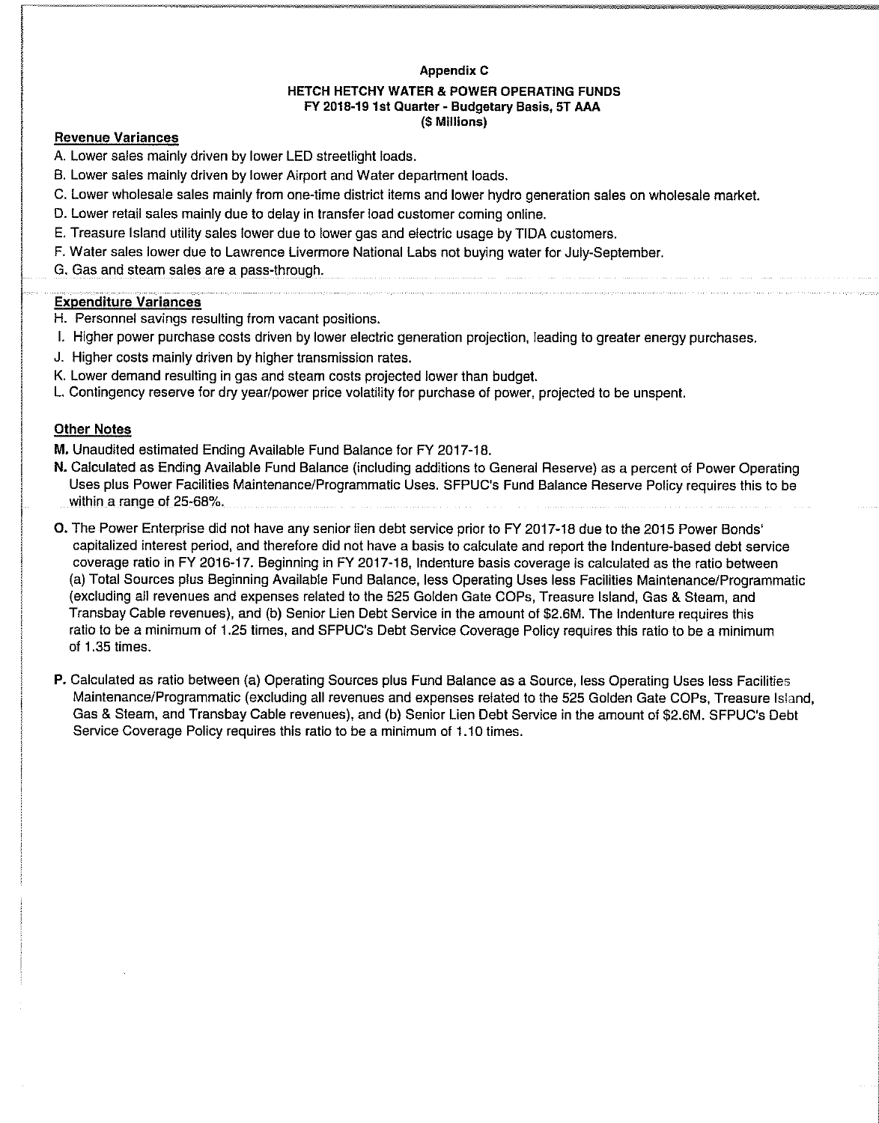#### Appendix C

#### HETCH HETCHY WATER & POWER OPERATING FUNDS FY 2018-19 1st Quarter - Budgetary Basis, 5T AAA (\$ Millions)

## Revenue Variances

A. Lower sales mainly driven by lower LED streetlight loads.

- B. Lower sales mainly driven by lower Airport and Water department loads.
- C. Lower wholesale sales mainly from one-time district items and lower hydro generation sales on wholesale market.
- D. Lower retail sales mainly due to delay in transfer load customer coming online.
- E. Treasure Island utility sales lower due to lower gas and electric usage by TIDA customers.
- F. Water sales lower due to Lawrence Livermore National Labs not buying water for July-September.
- G. Gas and steam sales are a pass-through.

## Expenditure Variances

- H. Personnel savings resulting from vacant positions.
- I. Higher power purchase costs driven by lower electric generation projection, leading to greater energy purchases.
- J. Higher costs mainly driven by higher transmission rates.
- K. Lower demand resulting in gas and steam costs projected lower than budget.
- L. Contingency reserve for dry year/power price volatility for purchase of power, projected to be unspent.

## Other Notes

M. Unaudited estimated Ending Available Fund Balance for FY 2017-18.

- N. Calculated as Ending Available Fund Balance (including additions to General Reserve) as a percent of Power Operating Uses plus Power Facilities Maintenance/Programmatic Uses. SFPUC's Fund Balance Reserve Policy requires this to be within a range of 25-68%.
- 0. The Power Enterprise did not have any senior lien debt service prior to FY 2017-18 due to the 2015 Power Bonds' capitalized interest period, and therefore did not have a basis to calculate and report the Indenture-based debt service coverage ratio in FY 2016-17. Beginning in FY 2017-18, Indenture basis coverage is calculated as the ratio between (a) Total Sources plus Beginning Available Fund Balance, less Operating Uses less Facilities Maintenance/Programmatic (excluding all revenues and expenses related to the 525 Golden Gate COPs, Treasure Island, Gas & Steam, and Transbay Cable revenues), and (b) Senior Lien Debt Service in the amount of \$2.6M. The Indenture requires this ratio to be a minimum of 1.25 times, and SFPUC's Debt Service Coverage Policy requires this ratio to be a minimum of 1.35 times.
- P. Calculated as ratio between (a) Operating Sources plus Fund Balance as a Source, less Operating Uses less Facilities Maintenance/Programmatic (excluding all revenues and expenses related to the 525 Golden Gate COPs, Treasure Island, Gas & Steam, and Transbay Cable revenues), and (b) Senior Lien Debt Service in the amount of \$2.6M. SFPUC's Debt Service Coverage Policy requires this ratio to be a minimum of 1.10 times.